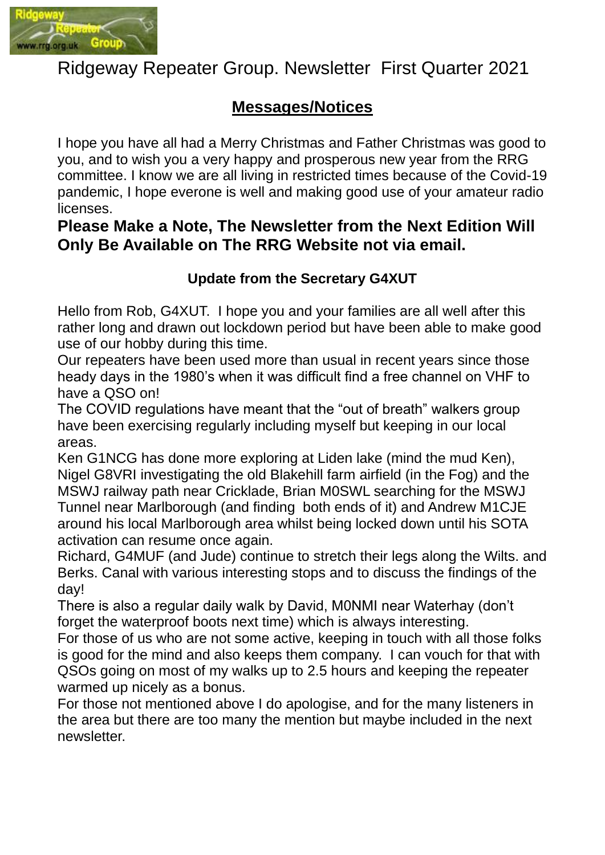

# Ridgeway Repeater Group. Newsletter First Quarter 2021

## **Messages/Notices**

I hope you have all had a Merry Christmas and Father Christmas was good to you, and to wish you a very happy and prosperous new year from the RRG committee. I know we are all living in restricted times because of the Covid-19 pandemic, I hope everone is well and making good use of your amateur radio licenses.

## **Please Make a Note, The Newsletter from the Next Edition Will Only Be Available on The RRG Website not via email.**

#### **Update from the Secretary G4XUT**

Hello from Rob, G4XUT. I hope you and your families are all well after this rather long and drawn out lockdown period but have been able to make good use of our hobby during this time.

Our repeaters have been used more than usual in recent years since those heady days in the 1980's when it was difficult find a free channel on VHF to have a QSO on!

The COVID regulations have meant that the "out of breath" walkers group have been exercising regularly including myself but keeping in our local areas.

Ken G1NCG has done more exploring at Liden lake (mind the mud Ken), Nigel G8VRI investigating the old Blakehill farm airfield (in the Fog) and the MSWJ railway path near Cricklade, Brian M0SWL searching for the MSWJ Tunnel near Marlborough (and finding both ends of it) and Andrew M1CJE around his local Marlborough area whilst being locked down until his SOTA activation can resume once again.

Richard, G4MUF (and Jude) continue to stretch their legs along the Wilts. and Berks. Canal with various interesting stops and to discuss the findings of the day!

There is also a regular daily walk by David, M0NMI near Waterhay (don't forget the waterproof boots next time) which is always interesting.

For those of us who are not some active, keeping in touch with all those folks is good for the mind and also keeps them company. I can vouch for that with QSOs going on most of my walks up to 2.5 hours and keeping the repeater warmed up nicely as a bonus.

For those not mentioned above I do apologise, and for the many listeners in the area but there are too many the mention but maybe included in the next newsletter.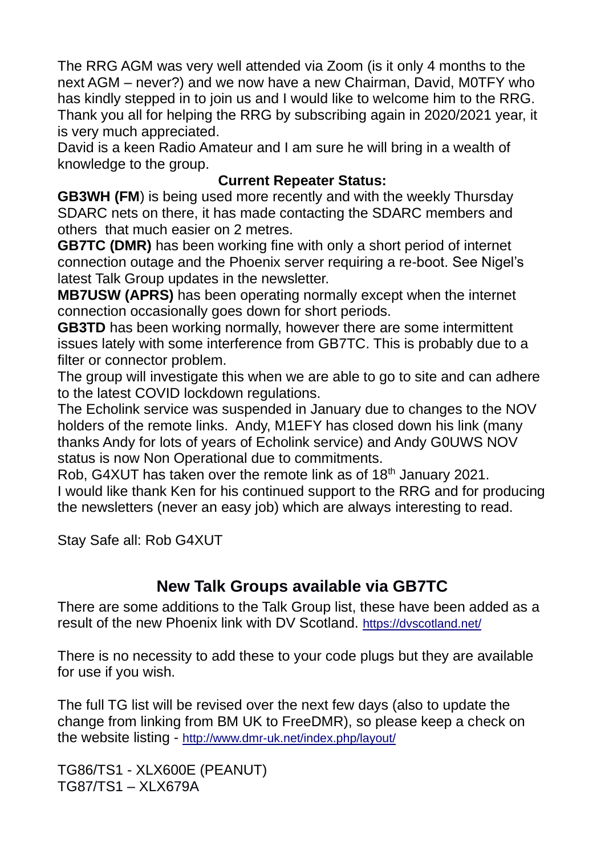The RRG AGM was very well attended via Zoom (is it only 4 months to the next AGM – never?) and we now have a new Chairman, David, M0TFY who has kindly stepped in to join us and I would like to welcome him to the RRG. Thank you all for helping the RRG by subscribing again in 2020/2021 year, it is very much appreciated.

David is a keen Radio Amateur and I am sure he will bring in a wealth of knowledge to the group.

#### **Current Repeater Status:**

**GB3WH (FM**) is being used more recently and with the weekly Thursday SDARC nets on there, it has made contacting the SDARC members and others that much easier on 2 metres.

**GB7TC (DMR)** has been working fine with only a short period of internet connection outage and the Phoenix server requiring a re-boot. See Nigel's latest Talk Group updates in the newsletter.

**MB7USW (APRS)** has been operating normally except when the internet connection occasionally goes down for short periods.

**GB3TD** has been working normally, however there are some intermittent issues lately with some interference from GB7TC. This is probably due to a filter or connector problem.

The group will investigate this when we are able to go to site and can adhere to the latest COVID lockdown regulations.

The Echolink service was suspended in January due to changes to the NOV holders of the remote links. Andy, M1EFY has closed down his link (many thanks Andy for lots of years of Echolink service) and Andy G0UWS NOV status is now Non Operational due to commitments.

Rob, G4XUT has taken over the remote link as of 18<sup>th</sup> January 2021. I would like thank Ken for his continued support to the RRG and for producing the newsletters (never an easy job) which are always interesting to read.

Stay Safe all: Rob G4XUT

## **New Talk Groups available via GB7TC**

There are some additions to the Talk Group list, these have been added as a result of the new Phoenix link with DV Scotland. <https://dvscotland.net/>

There is no necessity to add these to your code plugs but they are available for use if you wish.

The full TG list will be revised over the next few days (also to update the change from linking from BM UK to FreeDMR), so please keep a check on the website listing - <http://www.dmr-uk.net/index.php/layout/>

TG86/TS1 - XLX600E (PEANUT) TG87/TS1 – XLX679A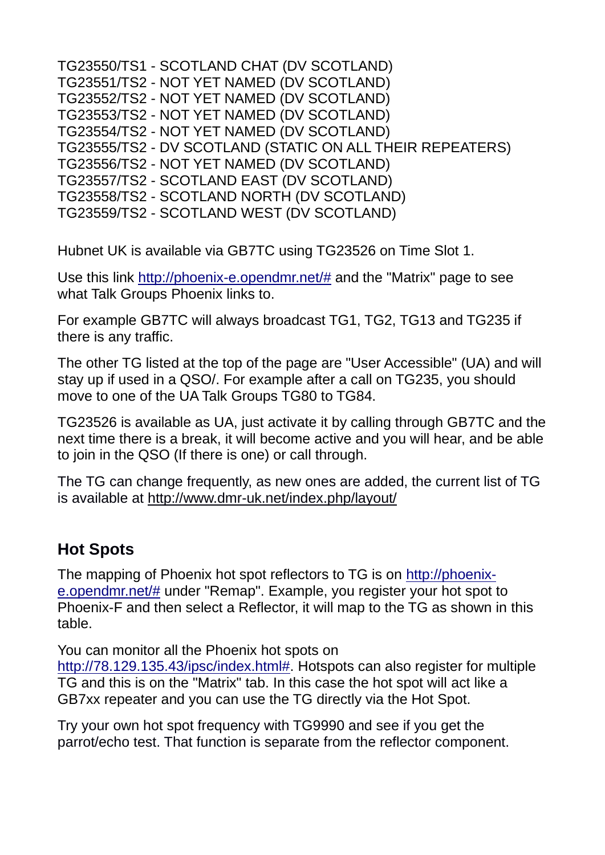| TG23550/TS1 - SCOTLAND CHAT (DV SCOTLAND)                 |
|-----------------------------------------------------------|
| TG23551/TS2 - NOT YET NAMED (DV SCOTLAND)                 |
| TG23552/TS2 - NOT YET NAMED (DV SCOTLAND)                 |
| TG23553/TS2 - NOT YET NAMED (DV SCOTLAND)                 |
| TG23554/TS2 - NOT YET NAMED (DV SCOTLAND)                 |
| TG23555/TS2 - DV SCOTLAND (STATIC ON ALL THEIR REPEATERS) |
| TG23556/TS2 - NOT YET NAMED (DV SCOTLAND)                 |
| TG23557/TS2 - SCOTLAND EAST (DV SCOTLAND)                 |
| TG23558/TS2 - SCOTLAND NORTH (DV SCOTLAND)                |
| TG23559/TS2 - SCOTLAND WEST (DV SCOTLAND)                 |

Hubnet UK is available via GB7TC using TG23526 on Time Slot 1.

Use this link [http://phoenix-e.opendmr.net/#](http://phoenix-e.opendmr.net/) and the "Matrix" page to see what Talk Groups Phoenix links to.

For example GB7TC will always broadcast TG1, TG2, TG13 and TG235 if there is any traffic.

The other TG listed at the top of the page are "User Accessible" (UA) and will stay up if used in a QSO/. For example after a call on TG235, you should move to one of the UA Talk Groups TG80 to TG84.

TG23526 is available as UA, just activate it by calling through GB7TC and the next time there is a break, it will become active and you will hear, and be able to join in the QSO (If there is one) or call through.

The TG can change frequently, as new ones are added, the current list of TG is available at<http://www.dmr-uk.net/index.php/layout/>

## **Hot Spots**

The mapping of Phoenix hot spot reflectors to TG is on [http://phoenix](http://phoenix-e.opendmr.net/)[e.opendmr.net/#](http://phoenix-e.opendmr.net/) under "Remap". Example, you register your hot spot to Phoenix-F and then select a Reflector, it will map to the TG as shown in this table.

You can monitor all the Phoenix hot spots on

[http://78.129.135.43/ipsc/index.html#.](http://78.129.135.43/ipsc/index.html) Hotspots can also register for multiple TG and this is on the "Matrix" tab. In this case the hot spot will act like a GB7xx repeater and you can use the TG directly via the Hot Spot.

Try your own hot spot frequency with TG9990 and see if you get the parrot/echo test. That function is separate from the reflector component.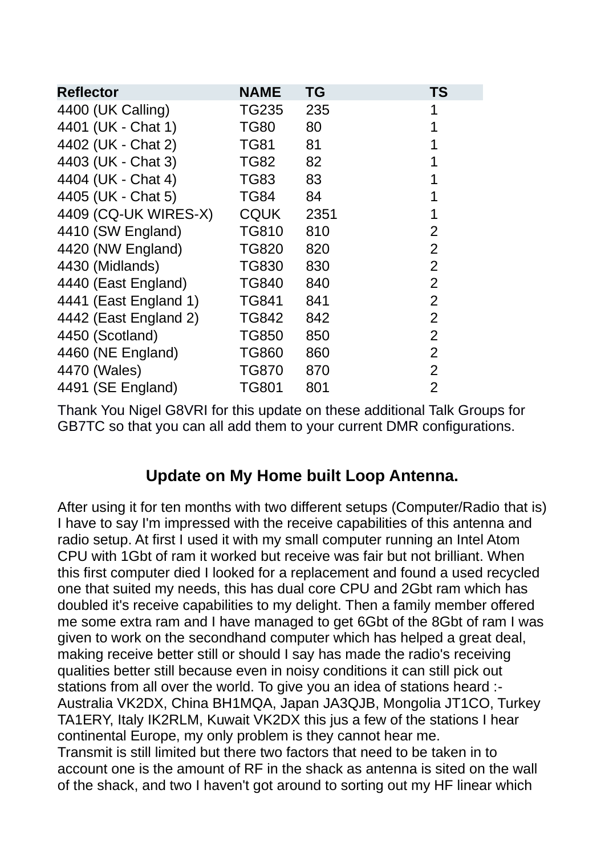| <b>Reflector</b>      | <b>NAME</b>  | ΤG   | TS             |
|-----------------------|--------------|------|----------------|
| 4400 (UK Calling)     | TG235        | 235  | 1              |
| 4401 (UK - Chat 1)    | <b>TG80</b>  | 80   | 1              |
| 4402 (UK - Chat 2)    | <b>TG81</b>  | 81   | 1              |
| 4403 (UK - Chat 3)    | <b>TG82</b>  | 82   |                |
| 4404 (UK - Chat 4)    | <b>TG83</b>  | 83   | 1              |
| 4405 (UK - Chat 5)    | TG84         | 84   | 1              |
| 4409 (CQ-UK WIRES-X)  | <b>CQUK</b>  | 2351 | 1              |
| 4410 (SW England)     | <b>TG810</b> | 810  | $\overline{2}$ |
| 4420 (NW England)     | <b>TG820</b> | 820  | $\overline{2}$ |
| 4430 (Midlands)       | <b>TG830</b> | 830  | $\overline{2}$ |
| 4440 (East England)   | <b>TG840</b> | 840  | $\overline{2}$ |
| 4441 (East England 1) | <b>TG841</b> | 841  | $\overline{2}$ |
| 4442 (East England 2) | <b>TG842</b> | 842  | $\overline{2}$ |
| 4450 (Scotland)       | <b>TG850</b> | 850  | $\overline{2}$ |
| 4460 (NE England)     | <b>TG860</b> | 860  | $\overline{2}$ |
| 4470 (Wales)          | <b>TG870</b> | 870  | $\overline{2}$ |
| 4491 (SE England)     | <b>TG801</b> | 801  | $\overline{2}$ |

Thank You Nigel G8VRI for this update on these additional Talk Groups for GB7TC so that you can all add them to your current DMR configurations.

#### **Update on My Home built Loop Antenna.**

After using it for ten months with two different setups (Computer/Radio that is) I have to say I'm impressed with the receive capabilities of this antenna and radio setup. At first I used it with my small computer running an Intel Atom CPU with 1Gbt of ram it worked but receive was fair but not brilliant. When this first computer died I looked for a replacement and found a used recycled one that suited my needs, this has dual core CPU and 2Gbt ram which has doubled it's receive capabilities to my delight. Then a family member offered me some extra ram and I have managed to get 6Gbt of the 8Gbt of ram I was given to work on the secondhand computer which has helped a great deal, making receive better still or should I say has made the radio's receiving qualities better still because even in noisy conditions it can still pick out stations from all over the world. To give you an idea of stations heard :- Australia VK2DX, China BH1MQA, Japan JA3QJB, Mongolia JT1CO, Turkey TA1ERY, Italy IK2RLM, Kuwait VK2DX this jus a few of the stations I hear continental Europe, my only problem is they cannot hear me. Transmit is still limited but there two factors that need to be taken in to account one is the amount of RF in the shack as antenna is sited on the wall of the shack, and two I haven't got around to sorting out my HF linear which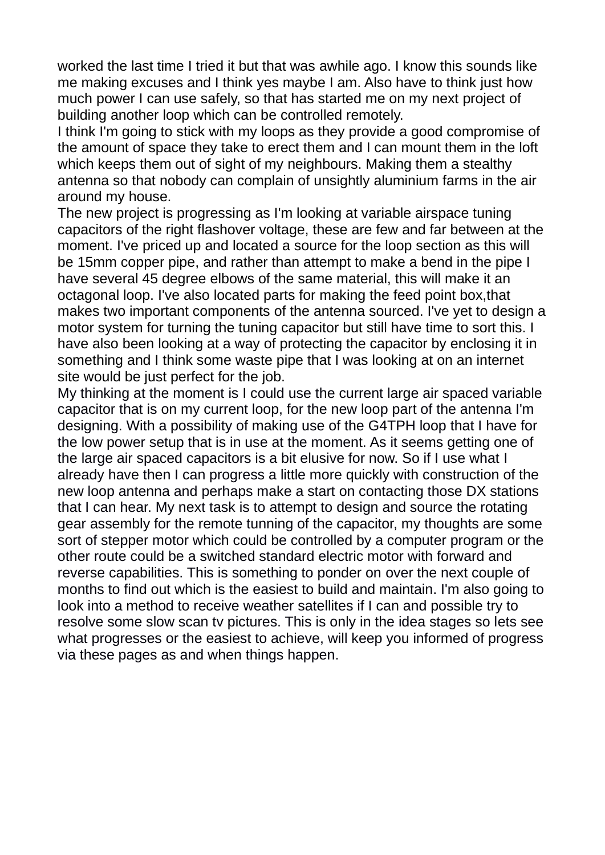worked the last time I tried it but that was awhile ago. I know this sounds like me making excuses and I think yes maybe I am. Also have to think just how much power I can use safely, so that has started me on my next project of building another loop which can be controlled remotely.

I think I'm going to stick with my loops as they provide a good compromise of the amount of space they take to erect them and I can mount them in the loft which keeps them out of sight of my neighbours. Making them a stealthy antenna so that nobody can complain of unsightly aluminium farms in the air around my house.

The new project is progressing as I'm looking at variable airspace tuning capacitors of the right flashover voltage, these are few and far between at the moment. I've priced up and located a source for the loop section as this will be 15mm copper pipe, and rather than attempt to make a bend in the pipe I have several 45 degree elbows of the same material, this will make it an octagonal loop. I've also located parts for making the feed point box,that makes two important components of the antenna sourced. I've yet to design a motor system for turning the tuning capacitor but still have time to sort this. I have also been looking at a way of protecting the capacitor by enclosing it in something and I think some waste pipe that I was looking at on an internet site would be just perfect for the job.

My thinking at the moment is I could use the current large air spaced variable capacitor that is on my current loop, for the new loop part of the antenna I'm designing. With a possibility of making use of the G4TPH loop that I have for the low power setup that is in use at the moment. As it seems getting one of the large air spaced capacitors is a bit elusive for now. So if I use what I already have then I can progress a little more quickly with construction of the new loop antenna and perhaps make a start on contacting those DX stations that I can hear. My next task is to attempt to design and source the rotating gear assembly for the remote tunning of the capacitor, my thoughts are some sort of stepper motor which could be controlled by a computer program or the other route could be a switched standard electric motor with forward and reverse capabilities. This is something to ponder on over the next couple of months to find out which is the easiest to build and maintain. I'm also going to look into a method to receive weather satellites if I can and possible try to resolve some slow scan tv pictures. This is only in the idea stages so lets see what progresses or the easiest to achieve, will keep you informed of progress via these pages as and when things happen.